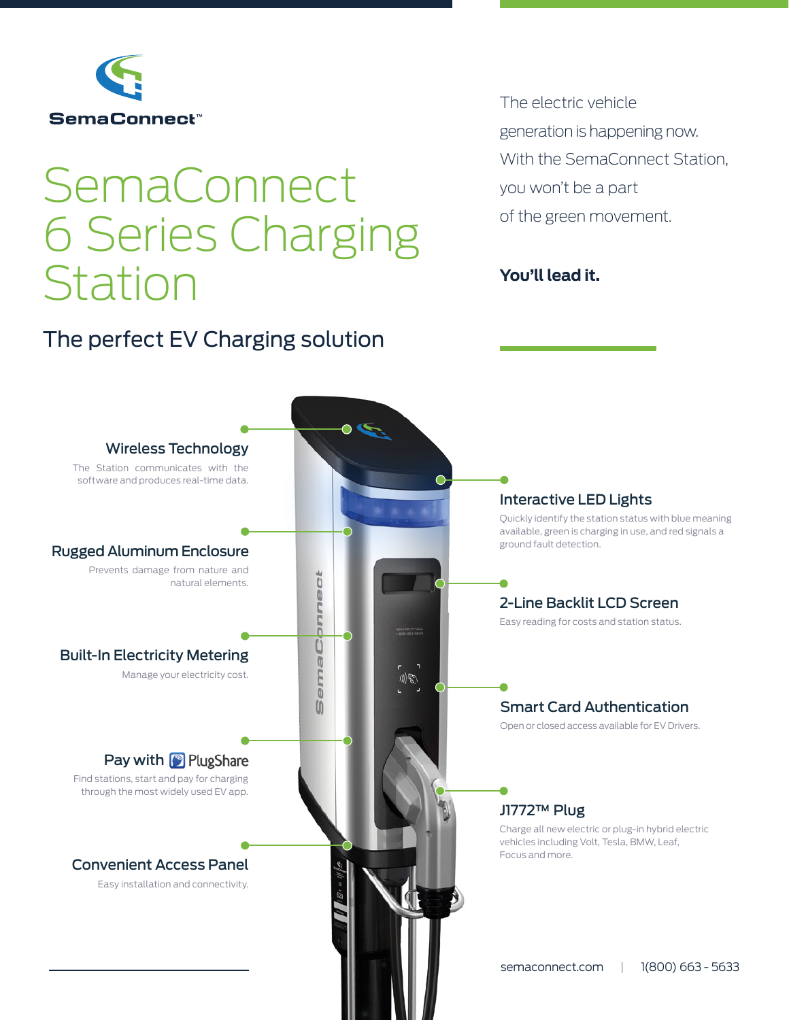

# **SemaConnect** 6 Series Charging Station

# The perfect EV Charging solution

The electric vehicle generation is happening now. With the SemaConnect Station, you won't be a part of the green movement.

## **You'll lead it.**